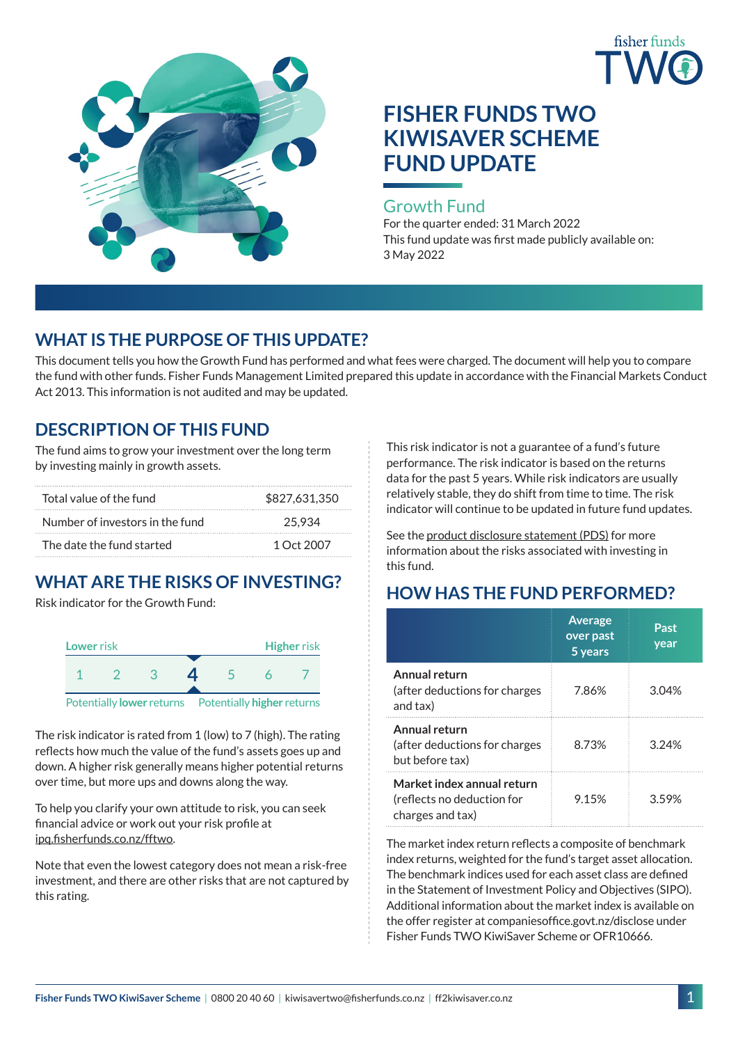



# **FISHER FUNDS TWO KIWISAVER SCHEME FUND UPDATE**

### Growth Fund

For the quarter ended: 31 March 2022 This fund update was first made publicly available on: 3 May 2022

# **WHAT IS THE PURPOSE OF THIS UPDATE?**

This document tells you how the Growth Fund has performed and what fees were charged. The document will help you to compare the fund with other funds. Fisher Funds Management Limited prepared this update in accordance with the Financial Markets Conduct Act 2013. This information is not audited and may be updated.

# **DESCRIPTION OF THIS FUND**

The fund aims to grow your investment over the long term by investing mainly in growth assets.

| Total value of the fund         | \$827,631,350 |  |  |
|---------------------------------|---------------|--|--|
| Number of investors in the fund | 25.934        |  |  |
| The date the fund started       | 1 Oct 2007    |  |  |

# **WHAT ARE THE RISKS OF INVESTING?**

Risk indicator for the Growth Fund:



The risk indicator is rated from 1 (low) to 7 (high). The rating reflects how much the value of the fund's assets goes up and down. A higher risk generally means higher potential returns over time, but more ups and downs along the way.

To help you clarify your own attitude to risk, you can seek financial advice or work out your risk profile at [ipq.fisherfunds.co.nz/fftwo](https://ipq.fisherfunds.co.nz/fftwo).

Note that even the lowest category does not mean a risk-free investment, and there are other risks that are not captured by this rating.

This risk indicator is not a guarantee of a fund's future performance. The risk indicator is based on the returns data for the past 5 years. While risk indicators are usually relatively stable, they do shift from time to time. The risk indicator will continue to be updated in future fund updates.

See the [product disclosure statement \(PDS\)](http://ff2kiwisaver.co.nz/assets/Documents/Fisher-Funds-TWO-KiwiSaver-Scheme-PDS.pdf) for more information about the risks associated with investing in this fund.

# **HOW HAS THE FUND PERFORMED?**

|                                                                              | <b>Average</b><br>over past<br>5 years | Past<br>year |
|------------------------------------------------------------------------------|----------------------------------------|--------------|
| Annual return<br>(after deductions for charges<br>and tax)                   | 7.86%                                  | 3.04%        |
| Annual return<br>(after deductions for charges<br>but before tax)            | 8.73%                                  | 3.24%        |
| Market index annual return<br>(reflects no deduction for<br>charges and tax) | 9.15%                                  | 359%         |

The market index return reflects a composite of benchmark index returns, weighted for the fund's target asset allocation. The benchmark indices used for each asset class are defined in the Statement of Investment Policy and Objectives (SIPO). Additional information about the market index is available on the offer register at companiesoffice.govt.nz/disclose under Fisher Funds TWO KiwiSaver Scheme or OFR10666.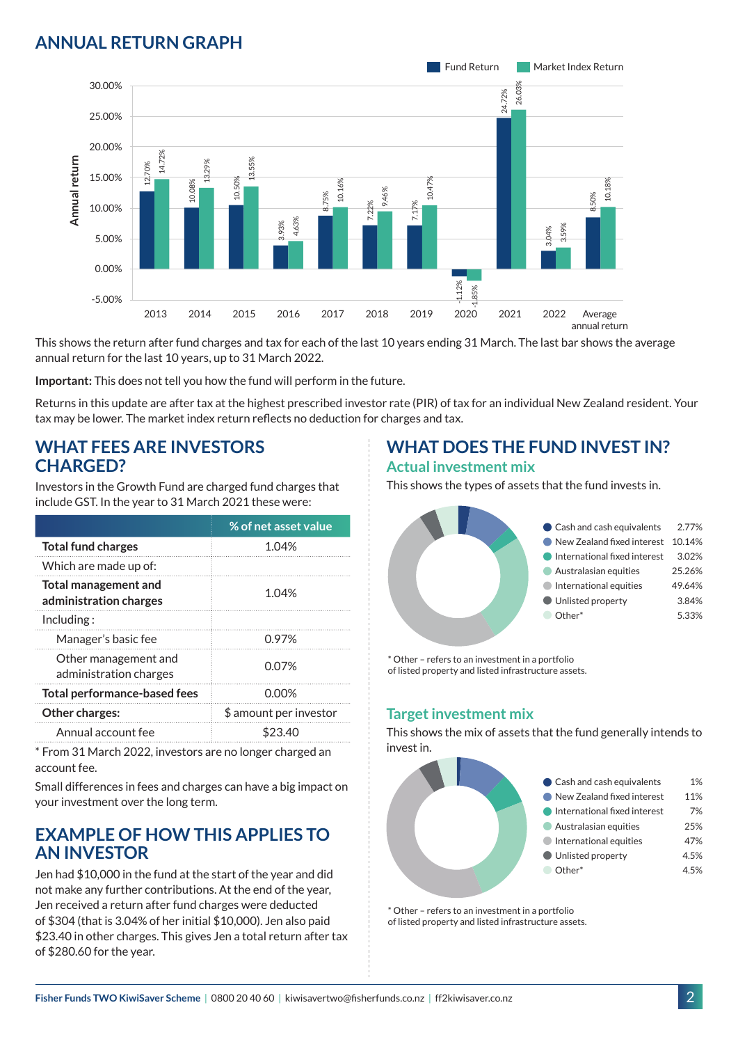# **ANNUAL RETURN GRAPH**



This shows the return after fund charges and tax for each of the last 10 years ending 31 March. The last bar shows the average annual return for the last 10 years, up to 31 March 2022.

**Important:** This does not tell you how the fund will perform in the future.

Returns in this update are after tax at the highest prescribed investor rate (PIR) of tax for an individual New Zealand resident. Your tax may be lower. The market index return reflects no deduction for charges and tax.

#### **WHAT FEES ARE INVESTORS CHARGED?**

Investors in the Growth Fund are charged fund charges that include GST. In the year to 31 March 2021 these were:

| % of net asset value                                           |  |
|----------------------------------------------------------------|--|
| 1.04%                                                          |  |
|                                                                |  |
| <b>Total management and</b><br>1.04%<br>administration charges |  |
|                                                                |  |
| 0.97%                                                          |  |
| 0.07%                                                          |  |
| 0.00%                                                          |  |
| \$ amount per investor                                         |  |
| \$23.40                                                        |  |
|                                                                |  |

\* From 31 March 2022, investors are no longer charged an account fee.

Small differences in fees and charges can have a big impact on your investment over the long term.

### **EXAMPLE OF HOW THIS APPLIES TO AN INVESTOR**

Jen had \$10,000 in the fund at the start of the year and did not make any further contributions. At the end of the year, Jen received a return after fund charges were deducted of \$304 (that is 3.04% of her initial \$10,000). Jen also paid \$23.40 in other charges. This gives Jen a total return after tax of \$280.60 for the year.

#### **WHAT DOES THE FUND INVEST IN? Actual investment mix**

This shows the types of assets that the fund invests in.



\* Other – refers to an investment in a portfolio of listed property and listed infrastructure assets.

#### **Target investment mix**

This shows the mix of assets that the fund generally intends to invest in.



\* Other – refers to an investment in a portfolio of listed property and listed infrastructure assets.